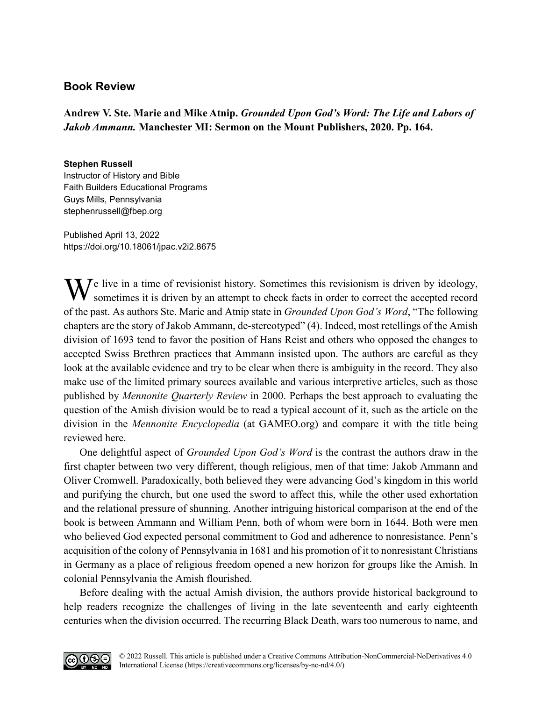## **Book Review**

**Andrew V. Ste. Marie and Mike Atnip.** *Grounded Upon God's Word: The Life and Labors of Jakob Ammann.* **Manchester MI: Sermon on the Mount Publishers, 2020. Pp. 164.** 

## **Stephen Russell**

Instructor of History and Bible Faith Builders Educational Programs Guys Mills, Pennsylvania [stephenrussell@fbep.org](mailto:stephenrussell@fbep.org)

Published April 13, 2022 <https://doi.org/10.18061/jpac.v2i2.8675>

We live in a time of revisionist history. Sometimes this revisionism is driven by ideology, sometimes it is driven by an attempt to check facts in order to correct the accepted record sometimes it is driven by an attempt to check facts in order to correct the accepted record of the past. As authors Ste. Marie and Atnip state in *Grounded Upon God's Word*, "The following chapters are the story of Jakob Ammann, de-stereotyped" (4). Indeed, most retellings of the Amish division of 1693 tend to favor the position of Hans Reist and others who opposed the changes to accepted Swiss Brethren practices that Ammann insisted upon. The authors are careful as they look at the available evidence and try to be clear when there is ambiguity in the record. They also make use of the limited primary sources available and various interpretive articles, such as those published by *Mennonite Quarterly Review* in 2000. Perhaps the best approach to evaluating the question of the Amish division would be to read a typical account of it, such as the article on the division in the *Mennonite Encyclopedia* (at GAMEO.org) and compare it with the title being reviewed here.

One delightful aspect of *Grounded Upon God's Word* is the contrast the authors draw in the first chapter between two very different, though religious, men of that time: Jakob Ammann and Oliver Cromwell. Paradoxically, both believed they were advancing God's kingdom in this world and purifying the church, but one used the sword to affect this, while the other used exhortation and the relational pressure of shunning. Another intriguing historical comparison at the end of the book is between Ammann and William Penn, both of whom were born in 1644. Both were men who believed God expected personal commitment to God and adherence to nonresistance. Penn's acquisition of the colony of Pennsylvania in 1681 and his promotion of it to nonresistant Christians in Germany as a place of religious freedom opened a new horizon for groups like the Amish. In colonial Pennsylvania the Amish flourished.

Before dealing with the actual Amish division, the authors provide historical background to help readers recognize the challenges of living in the late seventeenth and early eighteenth centuries when the division occurred. The recurring Black Death, wars too numerous to name, and